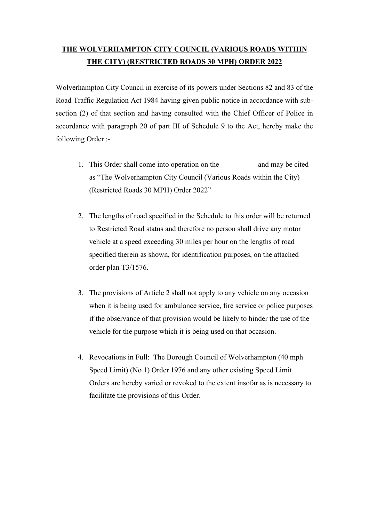## THE WOLVERHAMPTON CITY COUNCIL (VARIOUS ROADS WITHIN THE CITY) (RESTRICTED ROADS 30 MPH) ORDER 2022

Wolverhampton City Council in exercise of its powers under Sections 82 and 83 of the Road Traffic Regulation Act 1984 having given public notice in accordance with subsection (2) of that section and having consulted with the Chief Officer of Police in accordance with paragraph 20 of part III of Schedule 9 to the Act, hereby make the following Order :-

- 1. This Order shall come into operation on the and may be cited as "The Wolverhampton City Council (Various Roads within the City) (Restricted Roads 30 MPH) Order 2022"
- 2. The lengths of road specified in the Schedule to this order will be returned to Restricted Road status and therefore no person shall drive any motor vehicle at a speed exceeding 30 miles per hour on the lengths of road specified therein as shown, for identification purposes, on the attached order plan T3/1576.
- 3. The provisions of Article 2 shall not apply to any vehicle on any occasion when it is being used for ambulance service, fire service or police purposes if the observance of that provision would be likely to hinder the use of the vehicle for the purpose which it is being used on that occasion.
- 4. Revocations in Full: The Borough Council of Wolverhampton (40 mph Speed Limit) (No 1) Order 1976 and any other existing Speed Limit Orders are hereby varied or revoked to the extent insofar as is necessary to facilitate the provisions of this Order.